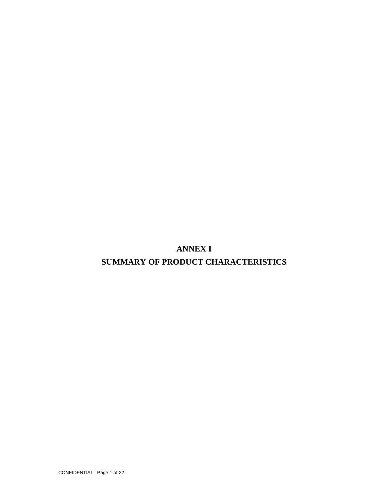**ANNEX I**

# **SUMMARY OF PRODUCT CHARACTERISTICS**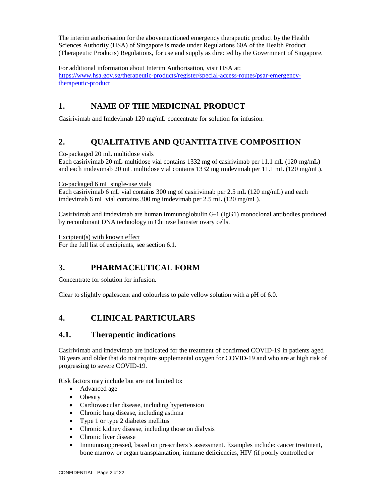The interim authorisation for the abovementioned emergency therapeutic product by the Health Sciences Authority (HSA) of Singapore is made under Regulations 60A of the Health Product (Therapeutic Products) Regulations, for use and supply as directed by the Government of Singapore.

For additional information about Interim Authorisation, visit HSA at: https://www.hsa.gov.sg/therapeutic-products/register/special-access-routes/psar-emergencytherapeutic-product

# **1. NAME OF THE MEDICINAL PRODUCT**

Casirivimab and Imdevimab 120 mg/mL concentrate for solution for infusion.

# **2. QUALITATIVE AND QUANTITATIVE COMPOSITION**

Co-packaged 20 mL multidose vials

Each casirivimab 20 mL multidose vial contains 1332 mg of casirivimab per 11.1 mL (120 mg/mL) and each imdevimab 20 mL multidose vial contains 1332 mg imdevimab per 11.1 mL (120 mg/mL).

Co-packaged 6 mL single-use vials

Each casirivimab 6 mL vial contains 300 mg of casirivimab per 2.5 mL (120 mg/mL) and each imdevimab 6 mL vial contains 300 mg imdevimab per 2.5 mL (120 mg/mL).

Casirivimab and imdevimab are human immunoglobulin G-1 (IgG1) monoclonal antibodies produced by recombinant DNA technology in Chinese hamster ovary cells.

Excipient(s) with known effect

For the full list of excipients, see section 6.1.

# **3. PHARMACEUTICAL FORM**

Concentrate for solution for infusion.

Clear to slightly opalescent and colourless to pale yellow solution with a pH of 6.0.

# **4. CLINICAL PARTICULARS**

## **4.1. Therapeutic indications**

Casirivimab and imdevimab are indicated for the treatment of confirmed COVID-19 in patients aged 18 years and older that do not require supplemental oxygen for COVID-19 and who are at high risk of progressing to severe COVID-19.

Risk factors may include but are not limited to:

- Advanced age
- Obesity
- Cardiovascular disease, including hypertension
- Chronic lung disease, including asthma
- Type 1 or type 2 diabetes mellitus
- Chronic kidney disease, including those on dialysis
- Chronic liver disease
- Immunosuppressed, based on prescribers's assessment. Examples include: cancer treatment, bone marrow or organ transplantation, immune deficiencies, HIV (if poorly controlled or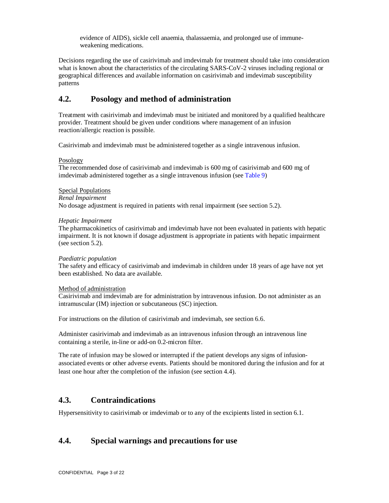evidence of AIDS), sickle cell anaemia, thalassaemia, and prolonged use of immuneweakening medications.

Decisions regarding the use of casirivimab and imdevimab for treatment should take into consideration what is known about the characteristics of the circulating SARS-CoV-2 viruses including regional or geographical differences and available information on casirivimab and imdevimab susceptibility patterns

## **4.2. Posology and method of administration**

Treatment with casirivimab and imdevimab must be initiated and monitored by a qualified healthcare provider. Treatment should be given under conditions where management of an infusion reaction/allergic reaction is possible.

Casirivimab and imdevimab must be administered together as a single intravenous infusion.

### Posology

The recommended dose of casirivimab and imdevimab is 600 mg of casirivimab and 600 mg of imdevimab administered together as a single intravenous infusion (see Table 9)

### Special Populations

### *Renal Impairment*

No dosage adjustment is required in patients with renal impairment (see section 5.2).

### *Hepatic Impairment*

The pharmacokinetics of casirivimab and imdevimab have not been evaluated in patients with hepatic impairment. It is not known if dosage adjustment is appropriate in patients with hepatic impairment (see section 5.2).

### *Paediatric population*

The safety and efficacy of casirivimab and imdevimab in children under 18 years of age have not yet been established. No data are available.

### Method of administration

Casirivimab and imdevimab are for administration by intravenous infusion. Do not administer as an intramuscular (IM) injection or subcutaneous (SC) injection.

For instructions on the dilution of casirivimab and imdevimab, see section 6.6.

Administer casirivimab and imdevimab as an intravenous infusion through an intravenous line containing a sterile, in-line or add-on 0.2-micron filter.

The rate of infusion may be slowed or interrupted if the patient develops any signs of infusionassociated events or other adverse events. Patients should be monitored during the infusion and for at least one hour after the completion of the infusion (see section 4.4).

## **4.3. Contraindications**

Hypersensitivity to casirivimab or imdevimab or to any of the excipients listed in section 6.1.

## **4.4. Special warnings and precautions for use**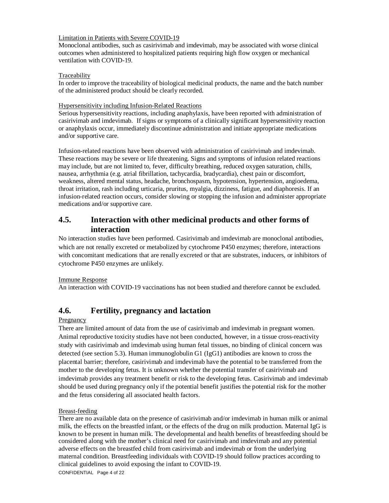## Limitation in Patients with Severe COVID-19

Monoclonal antibodies, such as casirivimab and imdevimab, may be associated with worse clinical outcomes when administered to hospitalized patients requiring high flow oxygen or mechanical ventilation with COVID-19.

### Traceability

In order to improve the traceability of biological medicinal products, the name and the batch number of the administered product should be clearly recorded.

## Hypersensitivity including Infusion-Related Reactions

Serious hypersensitivity reactions, including anaphylaxis, have been reported with administration of casirivimab and imdevimab. If signs or symptoms of a clinically significant hypersensitivity reaction or anaphylaxis occur, immediately discontinue administration and initiate appropriate medications and/or supportive care.

Infusion-related reactions have been observed with administration of casirivimab and imdevimab. These reactions may be severe or life threatening. Signs and symptoms of infusion related reactions may include, but are not limited to, fever, difficulty breathing, reduced oxygen saturation, chills, nausea, arrhythmia (e.g. atrial fibrillation, tachycardia, bradycardia), chest pain or discomfort, weakness, altered mental status, headache, bronchospasm, hypotension, hypertension, angioedema, throat irritation, rash including urticaria, pruritus, myalgia, dizziness, fatigue, and diaphoresis. If an infusion-related reaction occurs, consider slowing or stopping the infusion and administer appropriate medications and/or supportive care.

## **4.5. Interaction with other medicinal products and other forms of interaction**

No interaction studies have been performed. Casirivimab and imdevimab are monoclonal antibodies, which are not renally excreted or metabolized by cytochrome P450 enzymes; therefore, interactions with concomitant medications that are renally excreted or that are substrates, inducers, or inhibitors of cytochrome P450 enzymes are unlikely.

## Immune Response

An interaction with COVID-19 vaccinations has not been studied and therefore cannot be excluded.

# **4.6. Fertility, pregnancy and lactation**

## Pregnancy

There are limited amount of data from the use of casirivimab and imdevimab in pregnant women. Animal reproductive toxicity studies have not been conducted, however, in a tissue cross-reactivity study with casirivimab and imdevimab using human fetal tissues, no binding of clinical concern was detected (see section 5.3). Human immunoglobulin G1 (IgG1) antibodies are known to cross the placental barrier; therefore, casirivimab and imdevimab have the potential to be transferred from the mother to the developing fetus. It is unknown whether the potential transfer of casirivimab and imdevimab provides any treatment benefit or risk to the developing fetus. Casirivimab and imdevimab should be used during pregnancy only if the potential benefit justifies the potential risk for the mother and the fetus considering all associated health factors.

### Breast-feeding

There are no available data on the presence of casirivimab and/or imdevimab in human milk or animal milk, the effects on the breastfed infant, or the effects of the drug on milk production. Maternal IgG is known to be present in human milk. The developmental and health benefits of breastfeeding should be considered along with the mother's clinical need for casirivimab and imdevimab and any potential adverse effects on the breastfed child from casirivimab and imdevimab or from the underlying maternal condition. Breastfeeding individuals with COVID-19 should follow practices according to clinical guidelines to avoid exposing the infant to COVID-19.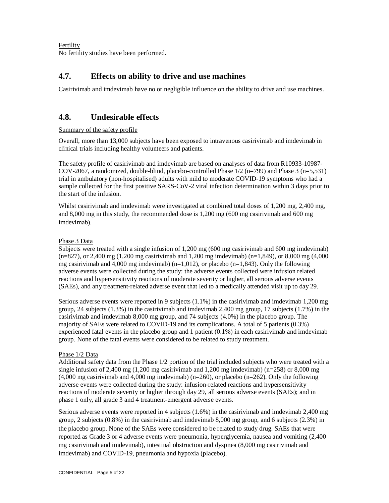Fertility No fertility studies have been performed.

## **4.7. Effects on ability to drive and use machines**

Casirivimab and imdevimab have no or negligible influence on the ability to drive and use machines.

## **4.8. Undesirable effects**

## Summary of the safety profile

Overall, more than 13,000 subjects have been exposed to intravenous casirivimab and imdevimab in clinical trials including healthy volunteers and patients.

The safety profile of casirivimab and imdevimab are based on analyses of data from R10933-10987- COV-2067, a randomized, double-blind, placebo-controlled Phase 1/2 (n=799) and Phase 3 (n=5,531) trial in ambulatory (non-hospitalised) adults with mild to moderate COVID-19 symptoms who had a sample collected for the first positive SARS-CoV-2 viral infection determination within 3 days prior to the start of the infusion.

Whilst casirivimab and imdevimab were investigated at combined total doses of 1,200 mg, 2,400 mg, and 8,000 mg in this study, the recommended dose is 1,200 mg (600 mg casirivimab and 600 mg imdevimab).

## Phase 3 Data

Subjects were treated with a single infusion of 1,200 mg (600 mg casirivimab and 600 mg imdevimab) (n=827), or 2,400 mg (1,200 mg casirivimab and 1,200 mg imdevimab) (n=1,849), or 8,000 mg (4,000 mg casirivimab and 4,000 mg imdevimab) ( $n=1,012$ ), or placebo ( $n=1,843$ ). Only the following adverse events were collected during the study: the adverse events collected were infusion related reactions and hypersensitivity reactions of moderate severity or higher, all serious adverse events (SAEs), and any treatment-related adverse event that led to a medically attended visit up to day 29.

Serious adverse events were reported in 9 subjects (1.1%) in the casirivimab and imdevimab 1,200 mg group, 24 subjects (1.3%) in the casirivimab and imdevimab 2,400 mg group, 17 subjects (1.7%) in the casirivimab and imdevimab 8,000 mg group, and 74 subjects (4.0%) in the placebo group. The majority of SAEs were related to COVID-19 and its complications. A total of 5 patients (0.3%) experienced fatal events in the placebo group and 1 patient (0.1%) in each casirivimab and imdevimab group. None of the fatal events were considered to be related to study treatment.

### Phase 1/2 Data

Additional safety data from the Phase 1/2 portion of the trial included subjects who were treated with a single infusion of 2,400 mg (1,200 mg casirivimab and 1,200 mg imdevimab) (n=258) or 8,000 mg  $(4,000 \text{ mg}$  casirivimab and  $4,000 \text{ mg}$  imdevimab) (n=260), or placebo (n=262). Only the following adverse events were collected during the study: infusion-related reactions and hypersensitivity reactions of moderate severity or higher through day 29, all serious adverse events (SAEs); and in phase 1 only, all grade 3 and 4 treatment-emergent adverse events.

Serious adverse events were reported in 4 subjects (1.6%) in the casirivimab and imdevimab 2,400 mg group, 2 subjects (0.8%) in the casirivimab and imdevimab 8,000 mg group, and 6 subjects (2.3%) in the placebo group. None of the SAEs were considered to be related to study drug. SAEs that were reported as Grade 3 or 4 adverse events were pneumonia, hyperglycemia, nausea and vomiting (2,400 mg casirivimab and imdevimab), intestinal obstruction and dyspnea (8,000 mg casirivimab and imdevimab) and COVID-19, pneumonia and hypoxia (placebo).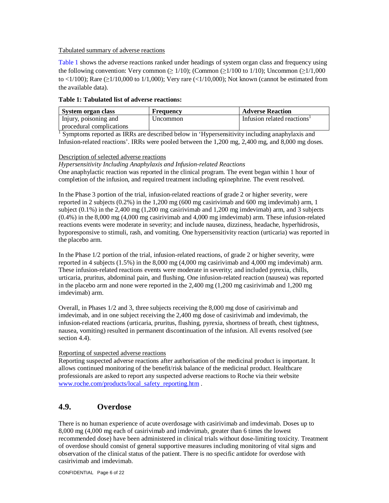#### Tabulated summary of adverse reactions

Table 1 shows the adverse reactions ranked under headings of system organ class and frequency using the following convention: Very common ( $\geq 1/10$ ); (Common ( $\geq 1/100$  to 1/10); Uncommon ( $\geq 1/1,000$ to <1/100); Rare  $(\geq 1/10,000$  to 1/1,000); Very rare  $(\leq 1/10,000)$ ; Not known (cannot be estimated from the available data).

#### **Table 1: Tabulated list of adverse reactions:**

| System organ class       | Frequency | <b>Adverse Reaction</b>                 |
|--------------------------|-----------|-----------------------------------------|
| Injury, poisoning and    | Uncommon  | Infusion related reactions <sup>1</sup> |
| procedural complications |           |                                         |

<sup>1</sup> Symptoms reported as IRRs are described below in 'Hypersensitivity including anaphylaxis and Infusion-related reactions'. IRRs were pooled between the 1,200 mg, 2,400 mg, and 8,000 mg doses.

#### Description of selected adverse reactions

*Hypersensitivity Including Anaphylaxis and Infusion-related Reactions*

One anaphylactic reaction was reported in the clinical program. The event began within 1 hour of completion of the infusion, and required treatment including epinephrine. The event resolved.

In the Phase 3 portion of the trial, infusion-related reactions of grade 2 or higher severity, were reported in 2 subjects (0.2%) in the 1,200 mg (600 mg casirivimab and 600 mg imdevimab) arm, 1 subject (0.1%) in the 2,400 mg (1,200 mg casirivimab and 1,200 mg imdevimab) arm, and 3 subjects (0.4%) in the 8,000 mg (4,000 mg casirivimab and 4,000 mg imdevimab) arm. These infusion-related reactions events were moderate in severity; and include nausea, dizziness, headache, hyperhidrosis, hyporesponsive to stimuli, rash, and vomiting. One hypersensitivity reaction (urticaria) was reported in the placebo arm.

In the Phase 1/2 portion of the trial, infusion-related reactions, of grade 2 or higher severity, were reported in 4 subjects (1.5%) in the 8,000 mg (4,000 mg casirivimab and 4,000 mg imdevimab) arm. These infusion-related reactions events were moderate in severity; and included pyrexia, chills, urticaria, pruritus, abdominal pain, and flushing. One infusion-related reaction (nausea) was reported in the placebo arm and none were reported in the 2,400 mg (1,200 mg casirivimab and 1,200 mg imdevimab) arm.

Overall, in Phases 1/2 and 3, three subjects receiving the 8,000 mg dose of casirivimab and imdevimab, and in one subject receiving the 2,400 mg dose of casirivimab and imdevimab, the infusion-related reactions (urticaria, pruritus, flushing, pyrexia, shortness of breath, chest tightness, nausea, vomiting) resulted in permanent discontinuation of the infusion. All events resolved (see section 4.4).

#### Reporting of suspected adverse reactions

Reporting suspected adverse reactions after authorisation of the medicinal product is important. It allows continued monitoring of the benefit/risk balance of the medicinal product. Healthcare professionals are asked to report any suspected adverse reactions to Roche via their website www.roche.com/products/local\_safety\_reporting.htm .

## **4.9. Overdose**

There is no human experience of acute overdosage with casirivimab and imdevimab. Doses up to 8,000 mg (4,000 mg each of casirivimab and imdevimab, greater than 6 times the lowest recommended dose) have been administered in clinical trials without dose-limiting toxicity. Treatment of overdose should consist of general supportive measures including monitoring of vital signs and observation of the clinical status of the patient. There is no specific antidote for overdose with casirivimab and imdevimab.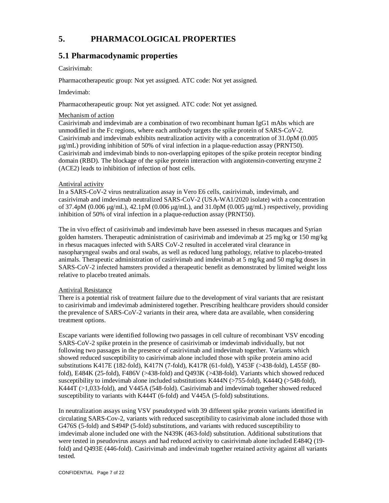# **5. PHARMACOLOGICAL PROPERTIES**

## **5.1 Pharmacodynamic properties**

## Casirivimab:

Pharmacotherapeutic group: Not yet assigned. ATC code: Not yet assigned.

### Imdevimab:

Pharmacotherapeutic group: Not yet assigned. ATC code: Not yet assigned.

### Mechanism of action

Casirivimab and imdevimab are a combination of two recombinant human IgG1 mAbs which are unmodified in the Fc regions, where each antibody targets the spike protein of SARS-CoV-2. Casirivimab and imdevimab exhibits neutralization activity with a concentration of 31.0pM (0.005 μg/mL) providing inhibition of 50% of viral infection in a plaque-reduction assay (PRNT50). Casirivimab and imdevimab binds to non-overlapping epitopes of the spike protein receptor binding domain (RBD). The blockage of the spike protein interaction with angiotensin-converting enzyme 2 (ACE2) leads to inhibition of infection of host cells.

## Antiviral activity

In a SARS-CoV-2 virus neutralization assay in Vero E6 cells, casirivimab, imdevimab, and casirivimab and imdevimab neutralized SARS-CoV-2 (USA-WA1/2020 isolate) with a concentration of 37.4pM (0.006 μg/mL), 42.1pM (0.006 μg/mL), and 31.0pM (0.005 μg/mL) respectively, providing inhibition of 50% of viral infection in a plaque-reduction assay (PRNT50).

The in vivo effect of casirivimab and imdevimab have been assessed in rhesus macaques and Syrian golden hamsters. Therapeutic administration of casirivimab and imdevimab at 25 mg/kg or 150 mg/kg in rhesus macaques infected with SARS CoV-2 resulted in accelerated viral clearance in nasopharyngeal swabs and oral swabs, as well as reduced lung pathology, relative to placebo-treated animals. Therapeutic administration of casirivimab and imdevimab at 5 mg/kg and 50 mg/kg doses in SARS-CoV-2 infected hamsters provided a therapeutic benefit as demonstrated by limited weight loss relative to placebo treated animals.

### Antiviral Resistance

There is a potential risk of treatment failure due to the development of viral variants that are resistant to casirivimab and imdevimab administered together. Prescribing healthcare providers should consider the prevalence of SARS-CoV-2 variants in their area, where data are available, when considering treatment options.

Escape variants were identified following two passages in cell culture of recombinant VSV encoding SARS-CoV-2 spike protein in the presence of casirivimab or imdevimab individually, but not following two passages in the presence of casirivimab and imdevimab together. Variants which showed reduced susceptibility to casirivimab alone included those with spike protein amino acid substitutions K417E (182-fold), K417N (7-fold), K417R (61-fold), Y453F (>438-fold), L455F (80 fold), E484K (25-fold), F486V (>438-fold) and Q493K (>438-fold). Variants which showed reduced susceptibility to imdevimab alone included substitutions K444N (>755-fold), K444Q (>548-fold), K444T (>1,033-fold), and V445A (548-fold). Casirivimab and imdevimab together showed reduced susceptibility to variants with K444T (6-fold) and V445A (5-fold) substitutions.

In neutralization assays using VSV pseudotyped with 39 different spike protein variants identified in circulating SARS-Cov-2, variants with reduced susceptibility to casirivimab alone included those with G476S (5-fold) and S494P (5-fold) substitutions, and variants with reduced susceptibility to imdevimab alone included one with the N439K (463-fold) substitution. Additional substitutions that were tested in pseudovirus assays and had reduced activity to casirivimab alone included E484Q (19 fold) and Q493E (446-fold). Casirivimab and imdevimab together retained activity against all variants tested.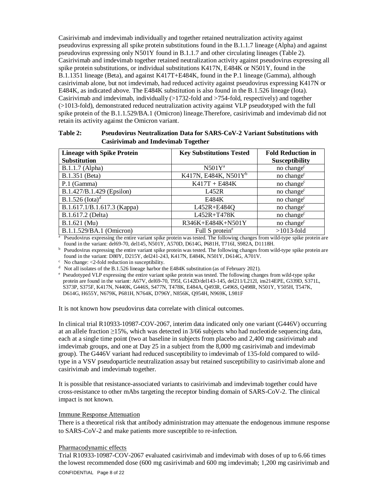Casirivimab and imdevimab individually and together retained neutralization activity against pseudovirus expressing all spike protein substitutions found in the B.1.1.7 lineage (Alpha) and against pseudovirus expressing only N501Y found in B.1.1.7 and other circulating lineages (Table 2). Casirivimab and imdevimab together retained neutralization activity against pseudovirus expressing all spike protein substitutions, or individual substitutions K417N, E484K or N501Y, found in the B.1.1351 lineage (Beta), and against K417T+E484K, found in the P.1 lineage (Gamma), although casirivimab alone, but not imdevimab, had reduced activity against pseudovirus expressing K417N or E484K, as indicated above. The E484K substitution is also found in the B.1.526 lineage (Iota). Casirivimab and imdevimab, individually (>1732-fold and >754-fold, respectively) and together (>1013-fold), demonstrated reduced neutralization activity against VLP pseudotyped with the full spike protein of the B.1.1.529/BA.1 (Omicron) lineage.Therefore, casirivimab and imdevimab did not retain its activity against the Omicron variant.

| Table 2: | <b>Pseudovirus Neutralization Data for SARS-CoV-2 Variant Substitutions with</b> |
|----------|----------------------------------------------------------------------------------|
|          | <b>Casirivimab and Imdevimab Together</b>                                        |

| <b>Lineage with Spike Protein</b><br><b>Substitution</b> | <b>Key Substitutions Tested</b> | <b>Fold Reduction in</b><br><b>Susceptibility</b> |
|----------------------------------------------------------|---------------------------------|---------------------------------------------------|
| B.1.1.7 (Alpha)                                          | $N501Y^a$                       | no change <sup>c</sup>                            |
| B.1.351 (Beta)                                           | K417N, E484K, N501 $Y^b$        | no change <sup>c</sup>                            |
| P.1 (Gamma)                                              | $K417T + E484K$                 | no change <sup>c</sup>                            |
| B.1.427/B.1.429 (Epsilon)                                | L452R                           | no change <sup>c</sup>                            |
| $B.1.526$ (Iota) <sup>d</sup>                            | E484K                           | no change <sup>c</sup>                            |
| B.1.617.1/B.1.617.3 (Kappa)                              | L452R+E484Q                     | no change <sup>c</sup>                            |
| B.1.617.2 (Delta)                                        | L452R+T478K                     | no change <sup>c</sup>                            |
| B.1.621 (Mu)                                             | R346K+E484K+N501Y               | no change <sup>c</sup>                            |
| B.1.1.529/BA.1 (Omicron)                                 | Full S protein <sup>e</sup>     | $>1013$ -fold                                     |

 $a<sup>a</sup>$  Pseudovirus expressing the entire variant spike protein was tested. The following changes from wild-type spike protein are found in the variant: del69-70, del145, N501Y, A570D, D614G, P681H, T716I, S982A, D1118H.

**b** Pseudovirus expressing the entire variant spike protein was tested. The following changes from wild-type spike protein are found in the variant: D80Y, D215Y, del241-243, K417N, E484K, N501Y, D614G, A701V.

 $\cdot$  No change: <2-fold reduction in susceptibility.

<sup>d</sup> Not all isolates of the B.1.526 lineage harbor the E484K substitution (as of February 2021).

<sup>e</sup> Pseudotyped VLP expressing the entire variant spike protein was tested. The following changes from wild-type spike protein are found in the variant: A67V, del69-70, T95I, G142D/del143-145, del211/L212I, ins214EPE, G339D, S371L, S373P, S375F, K417N, N440K, G446S, S477N, T478K, E484A, Q493R, G496S, Q498R, N501Y, Y505H, T547K, D614G, H655Y, N679K, P681H, N764K, D796Y, N856K, Q954H, N969K, L981F

It is not known how pseudovirus data correlate with clinical outcomes.

In clinical trial R10933-10987-COV-2067, interim data indicated only one variant (G446V) occurring at an allele fraction ≥15%, which was detected in 3/66 subjects who had nucleotide sequencing data, each at a single time point (two at baseline in subjects from placebo and 2,400 mg casirivimab and imdevimab groups, and one at Day 25 in a subject from the 8,000 mg casirivimab and imdevimab group). The G446V variant had reduced susceptibility to imdevimab of 135-fold compared to wildtype in a VSV pseudoparticle neutralization assay but retained susceptibility to casirivimab alone and casirivimab and imdevimab together.

It is possible that resistance-associated variants to casirivimab and imdevimab together could have cross-resistance to other mAbs targeting the receptor binding domain of SARS-CoV-2. The clinical impact is not known.

## Immune Response Attenuation

There is a theoretical risk that antibody administration may attenuate the endogenous immune response to SARS-CoV-2 and make patients more susceptible to re-infection.

#### Pharmacodynamic effects

Trial R10933-10987-COV-2067 evaluated casirivimab and imdevimab with doses of up to 6.66 times the lowest recommended dose (600 mg casirivimab and 600 mg imdevimab; 1,200 mg casirivimab and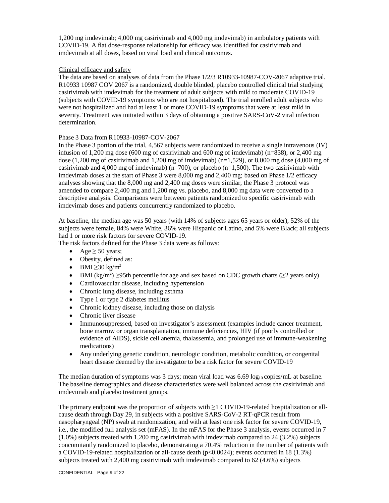1,200 mg imdevimab; 4,000 mg casirivimab and 4,000 mg imdevimab) in ambulatory patients with COVID-19. A flat dose-response relationship for efficacy was identified for casirivimab and imdevimab at all doses, based on viral load and clinical outcomes.

### Clinical efficacy and safety

The data are based on analyses of data from the Phase 1/2/3 R10933-10987-COV-2067 adaptive trial. R10933 10987 COV 2067 is a randomized, double blinded, placebo controlled clinical trial studying casirivimab with imdevimab for the treatment of adult subjects with mild to moderate COVID-19 (subjects with COVID-19 symptoms who are not hospitalized). The trial enrolled adult subjects who were not hospitalized and had at least 1 or more COVID-19 symptoms that were at least mild in severity. Treatment was initiated within 3 days of obtaining a positive SARS-CoV-2 viral infection determination.

## Phase 3 Data from R10933-10987-COV-2067

In the Phase 3 portion of the trial, 4,567 subjects were randomized to receive a single intravenous (IV) infusion of 1,200 mg dose (600 mg of casirivimab and 600 mg of imdevimab) (n=838), or 2,400 mg dose  $(1,200 \text{ mg of }$  casirivimab and  $1,200 \text{ mg of }$  imdevimab)  $(n=1,529)$ , or  $8,000 \text{ mg }$  dose  $(4,000 \text{ mg of }$ casirivimab and 4,000 mg of imdevimab) (n=700), or placebo (n=1,500). The two casirivimab with imdevimab doses at the start of Phase 3 were 8,000 mg and 2,400 mg; based on Phase 1/2 efficacy analyses showing that the 8,000 mg and 2,400 mg doses were similar, the Phase 3 protocol was amended to compare 2,400 mg and 1,200 mg vs. placebo, and 8,000 mg data were converted to a descriptive analysis. Comparisons were between patients randomized to specific casirivimab with imdevimab doses and patients concurrently randomized to placebo.

At baseline, the median age was 50 years (with 14% of subjects ages 65 years or older), 52% of the subjects were female, 84% were White, 36% were Hispanic or Latino, and 5% were Black; all subjects had 1 or more risk factors for severe COVID-19.

The risk factors defined for the Phase 3 data were as follows:

- Age  $\ge$  50 years;
- Obesity, defined as:
- $\bullet$  BMI  $\geq$ 30 kg/m<sup>2</sup>
- BMI (kg/m<sup>2</sup>)  $\geq$ 95th percentile for age and sex based on CDC growth charts ( $\geq$ 2 years only)
- Cardiovascular disease, including hypertension
- Chronic lung disease, including asthma
- Type 1 or type 2 diabetes mellitus
- Chronic kidney disease, including those on dialysis
- Chronic liver disease
- Immunosuppressed, based on investigator's assessment (examples include cancer treatment, bone marrow or organ transplantation, immune deficiencies, HIV (if poorly controlled or evidence of AIDS), sickle cell anemia, thalassemia, and prolonged use of immune-weakening medications)
- Any underlying genetic condition, neurologic condition, metabolic condition, or congenital heart disease deemed by the investigator to be a risk factor for severe COVID-19

The median duration of symptoms was 3 days; mean viral load was  $6.69 \log_{10}$  copies/mL at baseline. The baseline demographics and disease characteristics were well balanced across the casirivimab and imdevimab and placebo treatment groups.

The primary endpoint was the proportion of subjects with ≥1 COVID-19-related hospitalization or allcause death through Day 29, in subjects with a positive SARS-CoV-2 RT-qPCR result from nasopharyngeal (NP) swab at randomization, and with at least one risk factor for severe COVID-19, i.e., the modified full analysis set (mFAS). In the mFAS for the Phase 3 analysis, events occurred in 7 (1.0%) subjects treated with 1,200 mg casirivimab with imdevimab compared to 24 (3.2%) subjects concomitantly randomized to placebo, demonstrating a 70.4% reduction in the number of patients with a COVID-19-related hospitalization or all-cause death (p<0.0024); events occurred in 18 (1.3%) subjects treated with 2,400 mg casirivimab with imdevimab compared to 62 (4.6%) subjects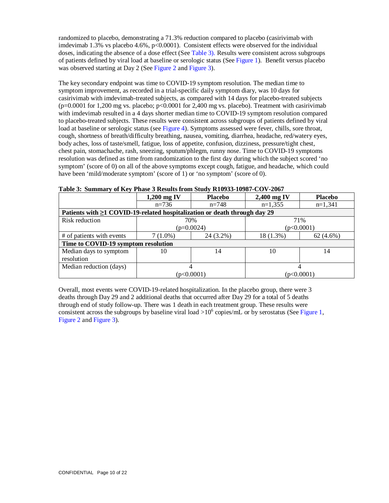randomized to placebo, demonstrating a 71.3% reduction compared to placebo (casirivimab with imdevimab 1.3% vs placebo 4.6%, p<0.0001). Consistent effects were observed for the individual doses, indicating the absence of a dose effect (See Table 3). Results were consistent across subgroups of patients defined by viral load at baseline or serologic status (See Figure 1). Benefit versus placebo was observed starting at Day 2 (See Figure 2 and Figure 3).

The key secondary endpoint was time to COVID-19 symptom resolution. The median time to symptom improvement, as recorded in a trial-specific daily symptom diary, was 10 days for casirivimab with imdevimab-treated subjects, as compared with 14 days for placebo-treated subjects  $(p=0.0001$  for 1,200 mg vs. placebo; p<0.0001 for 2,400 mg vs. placebo). Treatment with casirivimab with imdevimab resulted in a 4 days shorter median time to COVID-19 symptom resolution compared to placebo-treated subjects. These results were consistent across subgroups of patients defined by viral load at baseline or serologic status (see Figure 4). Symptoms assessed were fever, chills, sore throat, cough, shortness of breath/difficulty breathing, nausea, vomiting, diarrhea, headache, red/watery eyes, body aches, loss of taste/smell, fatigue, loss of appetite, confusion, dizziness, pressure/tight chest, chest pain, stomachache, rash, sneezing, sputum/phlegm, runny nose. Time to COVID-19 symptoms resolution was defined as time from randomization to the first day during which the subject scored 'no symptom' (score of 0) on all of the above symptoms except cough, fatigue, and headache, which could have been 'mild/moderate symptom' (score of 1) or 'no symptom' (score of 0).

|                                                                                 | $1,200$ mg IV           | <b>Placebo</b> | 2,400 mg IV | <b>Placebo</b> |  |
|---------------------------------------------------------------------------------|-------------------------|----------------|-------------|----------------|--|
|                                                                                 | $n=736$                 | $n=748$        | $n=1,355$   | $n=1,341$      |  |
| Patients with $\geq 1$ COVID-19-related hospitalization or death through day 29 |                         |                |             |                |  |
| Risk reduction                                                                  |                         | 70%            | 71%         |                |  |
|                                                                                 |                         | $(p=0.0024)$   | (p<0.0001)  |                |  |
| # of patients with events                                                       | 24 (3.2%)<br>$7(1.0\%)$ |                | $18(1.3\%)$ | $62(4.6\%)$    |  |
| Time to COVID-19 symptom resolution                                             |                         |                |             |                |  |
| Median days to symptom                                                          | 10                      | 14             | 10          | 14             |  |
| resolution                                                                      |                         |                |             |                |  |
| Median reduction (days)                                                         |                         |                |             |                |  |
|                                                                                 | (p<0.0001)              |                |             | (p<0.0001)     |  |

**Table 3: Summary of Key Phase 3 Results from Study R10933-10987-COV-2067**

Overall, most events were COVID-19-related hospitalization. In the placebo group, there were 3 deaths through Day 29 and 2 additional deaths that occurred after Day 29 for a total of 5 deaths through end of study follow-up. There was 1 death in each treatment group. These results were consistent across the subgroups by baseline viral load  $>10^6$  copies/mL or by serostatus (See Figure 1, Figure 2 and Figure 3).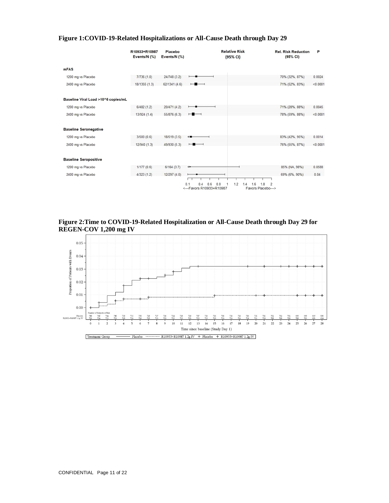|                                     | R10933+R10987<br>Events/N (%) | Placebo<br>Events/N (%) | <b>Relative Risk</b><br>(95% CI)                                                             | <b>Rel. Risk Reduction</b><br>(95% CI) | P        |
|-------------------------------------|-------------------------------|-------------------------|----------------------------------------------------------------------------------------------|----------------------------------------|----------|
| <b>mFAS</b>                         |                               |                         |                                                                                              |                                        |          |
| 1200 mg vs Placebo                  | 7/736(1.0)                    | 24/748 (3.2)            |                                                                                              | 70% (32%, 87%)                         | 0.0024   |
| 2400 mg vs Placebo                  | 18/1355 (1.3)                 | 62/1341 (4.6)           | $\overline{\phantom{a}}$                                                                     | 71% (52%, 83%)                         | < 0.0001 |
| Baseline Viral Load >10^6 copies/mL |                               |                         |                                                                                              |                                        |          |
| 1200 mg vs Placebo                  | 6/482(1.2)                    | 20/471 (4.2)            |                                                                                              | 71% (28%, 88%)                         | 0.0045   |
| 2400 mg vs Placebo                  | 13/924 (1.4)                  | 55/876 (6.3)            | $\overline{\phantom{a}}$                                                                     | 78% (59%, 88%)                         | < 0.0001 |
| <b>Baseline Seronegative</b>        |                               |                         |                                                                                              |                                        |          |
| 1200 mg vs Placebo                  | 3/500(0.6)                    | 18/519 (3.5)            | ←                                                                                            | 83% (42%, 95%)                         | 0.0014   |
| 2400 mg vs Placebo                  | 12/940 (1.3)                  | 49/930 (5.3)            | $\overline{\phantom{a}}$                                                                     | 76% (55%, 87%)                         | < 0.0001 |
| <b>Baseline Seropositive</b>        |                               |                         |                                                                                              |                                        |          |
| 1200 mg vs Placebo                  | 1/177(0.6)                    | 6/164(3.7)              |                                                                                              | 85% (NA, 98%)                          | 0.0588   |
| 2400 mg vs Placebo                  | 4/323(1.2)                    | 12/297(4.0)             | 0.1<br>0.4<br>0.8<br>1.2<br>0 <sub>6</sub><br><---Favors R10933+R10987<br>Favors Placebo---> | 69% (6%, 90%)<br>$\overline{2}$<br>8   | 0.04     |

## **Figure 1: COVID-19-Related Hospitalizations or All-Cause Death through Day 29**

**Figure 2: Time to COVID-19-Related Hospitalization or All-Cause Death through Day 29 for REGEN-COV 1,200 mg IV**

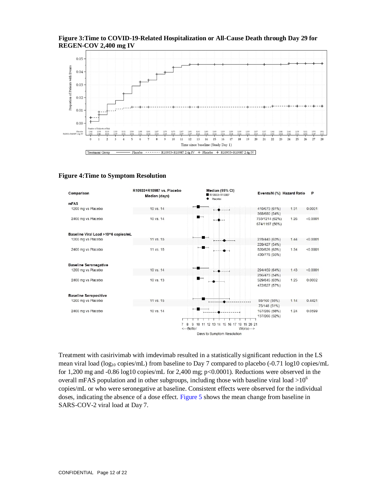

### **Figure 3: Time to COVID-19-Related Hospitalization or All-Cause Death through Day 29 for REGEN-COV 2,400 mg IV**

#### **Figure 4: Time to Symptom Resolution**



Treatment with casirivimab with imdevimab resulted in a statistically significant reduction in the LS mean viral load (log<sub>10</sub> copies/mL) from baseline to Day 7 compared to placebo (-0.71 log10 copies/mL for 1,200 mg and -0.86 log10 copies/mL for 2,400 mg;  $p<0.0001$ ). Reductions were observed in the overall mFAS population and in other subgroups, including those with baseline viral load  $>10^6$ copies/mL or who were seronegative at baseline. Consistent effects were observed for the individual doses, indicating the absence of a dose effect. Figure 5 shows the mean change from baseline in SARS-COV-2 viral load at Day 7.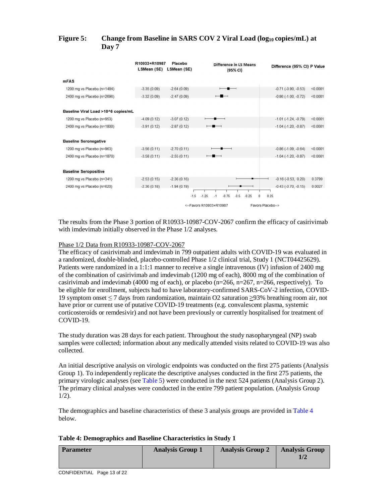## **Figure 5: Change from Baseline in SARS COV 2 Viral Load (log<sup>10</sup> copies/mL) at Day 7**

|                                     | R10933+R10987<br>LSMean (SE) | Placebo<br>LSMean (SE) | <b>Difference in LS Means</b><br>(95% CI)                   | Difference (95% CI) P Value               |
|-------------------------------------|------------------------------|------------------------|-------------------------------------------------------------|-------------------------------------------|
| <b>mFAS</b>                         |                              |                        |                                                             |                                           |
| 1200 mg vs Placebo (n=1484)         | $-3.35(0.09)$                | $-2.64(0.09)$          | $-$                                                         | $-0.71$ $(-0.90, -0.53)$<br>< 0.0001      |
| 2400 mg vs Placebo (n=2696)         | $-3.32(0.09)$                | $-2.47(0.09)$          | $\overline{\phantom{a}}$                                    | $-0.86$ $(-1.00, -0.72)$<br>< 0.0001      |
| Baseline Viral Load >10^6 copies/mL |                              |                        |                                                             |                                           |
| 1200 mg vs Placebo (n=953)          | $-4.09(0.12)$                | $-3.07(0.12)$          |                                                             | $-1.01$ $(-1.24, -0.79)$<br>< 0.0001      |
| 2400 mg vs Placebo (n=1800)         | $-3.91(0.12)$                | $-2.87(0.12)$          | -                                                           | $-1.04$ $(-1.20, -0.87)$<br>< 0.0001      |
| <b>Baseline Seronegative</b>        |                              |                        |                                                             |                                           |
| 1200 mg vs Placebo (n=963)          | $-3.56(0.11)$                | $-2.70(0.11)$          |                                                             | $-0.86$ ( $-1.09$ , $-0.64$ )<br>< 0.0001 |
| 2400 mg vs Placebo (n=1870)         | $-3.58(0.11)$                | $-2.55(0.11)$          | $\blacksquare$                                              | < 0.0001<br>$-1.04$ $(-1.20, -0.87)$      |
| <b>Baseline Seropositive</b>        |                              |                        |                                                             |                                           |
| 1200 mg vs Placebo (n=341)          | $-2.53(0.15)$                | $-2.36(0.16)$          |                                                             | $-0.16(-0.53, 0.20)$<br>0.3799            |
| 2400 mg vs Placebo (n=620)          | $-2.36(0.18)$                | $-1.94(0.19)$          |                                                             | $-0.43$ $(-0.70, -0.15)$<br>0.0027        |
|                                     |                              | $-1.5$                 | $-1.25$<br>$-0.75$<br>$-0.5$<br>$-0.25$<br>$-1$<br>$\Omega$ | 0.25                                      |
|                                     |                              |                        | <--Favors R10933+R10987                                     | Favors Placebo-->                         |

The results from the Phase 3 portion of R10933-10987-COV-2067 confirm the efficacy of casirivimab with imdevimab initially observed in the Phase 1/2 analyses.

#### Phase 1/2 Data from R10933-10987-COV-2067

The efficacy of casirivimab and imdevimab in 799 outpatient adults with COVID-19 was evaluated in a randomized, double-blinded, placebo-controlled Phase 1/2 clinical trial, Study 1 (NCT04425629). Patients were randomized in a 1:1:1 manner to receive a single intravenous (IV) infusion of 2400 mg of the combination of casirivimab and imdevimab (1200 mg of each), 8000 mg of the combination of casirivimab and imdevimab (4000 mg of each), or placebo ( $n=266$ ,  $n=267$ ,  $n=266$ , respectively). To be eligible for enrollment, subjects had to have laboratory-confirmed SARS-CoV-2 infection, COVID-19 symptom onset ≤ 7 days from randomization, maintain O2 saturation ≥93% breathing room air, not have prior or current use of putative COVID-19 treatments (e.g. convalescent plasma, systemic corticosteroids or remdesivir) and not have been previously or currently hospitalised for treatment of COVID-19.

The study duration was 28 days for each patient. Throughout the study nasopharyngeal (NP) swab samples were collected; information about any medically attended visits related to COVID-19 was also collected.

An initial descriptive analysis on virologic endpoints was conducted on the first 275 patients (Analysis Group 1). To independently replicate the descriptive analyses conducted in the first 275 patients, the primary virologic analyses (see Table 5) were conducted in the next 524 patients (Analysis Group 2). The primary clinical analyses were conducted in the entire 799 patient population. (Analysis Group  $1/2$ ).

The demographics and baseline characteristics of these 3 analysis groups are provided in Table 4 below.

| <b>Parameter</b> | <b>Analysis Group 1</b> | <b>Analysis Group 2</b> | <b>Analysis Group</b> |
|------------------|-------------------------|-------------------------|-----------------------|
|                  |                         |                         |                       |
|                  |                         |                         |                       |

### **Table 4: Demographics and Baseline Characteristics in Study 1**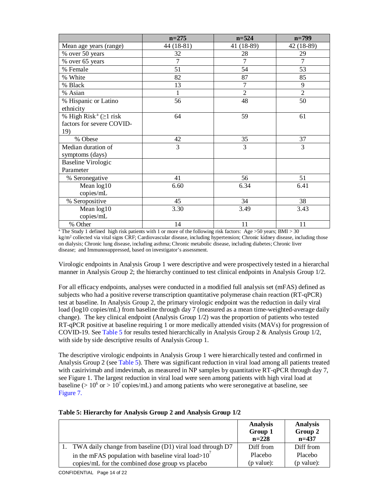|                                          | $n = 275$      | $n = 524$      | $n = 799$      |
|------------------------------------------|----------------|----------------|----------------|
| Mean age years (range)                   | 44 (18-81)     | 41 (18-89)     | 42 (18-89)     |
| % over 50 years                          | 32             | 28             | 29             |
| % over 65 years                          | $\overline{7}$ | $\overline{7}$ | 7              |
| % Female                                 | 51             | 54             | 53             |
| % White                                  | 82             | 87             | 85             |
| % Black                                  | 13             | $\overline{7}$ | 9              |
| % Asian                                  | $\mathbf{1}$   | $\overline{2}$ | $\overline{2}$ |
| % Hispanic or Latino                     | 56             | 48             | 50             |
| ethnicity                                |                |                |                |
| % High Risk <sup>a</sup> ( $\geq$ 1 risk | 64             | 59             | 61             |
| factors for severe COVID-                |                |                |                |
| 19)                                      |                |                |                |
| % Obese                                  | 42             | 35             | 37             |
| Median duration of                       | 3              | 3              | 3              |
| symptoms (days)                          |                |                |                |
| <b>Baseline Virologic</b>                |                |                |                |
| Parameter                                |                |                |                |
| % Seronegative                           | 41             | 56             | 51             |
| Mean log10                               | 6.60           | 6.34           | 6.41           |
| copies/mL                                |                |                |                |
| % Seropositive                           | 45             | 34             | 38             |
| Mean log10                               | 3.30           | 3.49           | 3.43           |
| copies/mL                                |                |                |                |
| % Other                                  | 14             | 11             | 11             |

a The Study 1 defined high risk patients with 1 or more of the following risk factors: Age >50 years; BMI > 30 kg/m<sup>2</sup> collected via vital signs CRF; Cardiovascular disease, including hypertension; Chronic kidney disease, including those on dialysis; Chronic lung disease, including asthma; Chronic metabolic disease, including diabetes; Chronic liver disease; and Immunosuppressed, based on investigator's assessment.

Virologic endpoints in Analysis Group 1 were descriptive and were prospectively tested in a hierarchal manner in Analysis Group 2; the hierarchy continued to test clinical endpoints in Analysis Group 1/2.

For all efficacy endpoints, analyses were conducted in a modified full analysis set (mFAS) defined as subjects who had a positive reverse transcription quantitative polymerase chain reaction (RT-qPCR) test at baseline. In Analysis Group 2, the primary virologic endpoint was the reduction in daily viral load (log10 copies/mL) from baseline through day 7 (measured as a mean time-weighted-average daily change). The key clinical endpoint (Analysis Group 1/2) was the proportion of patients who tested RT-qPCR positive at baseline requiring 1 or more medically attended visits (MAVs) for progression of COVID-19. See Table 5 for results tested hierarchically in Analysis Group 2 & Analysis Group 1/2, with side by side descriptive results of Analysis Group 1.

The descriptive virologic endpoints in Analysis Group 1 were hierarchically tested and confirmed in Analysis Group 2 (see Table 5). There was significant reduction in viral load among all patients treated with casirivimab and imdevimab, as measured in NP samples by quantitative RT-qPCR through day 7, see Figure 1. The largest reduction in viral load were seen among patients with high viral load at baseline ( $> 10^6$  or  $> 10^7$  copies/mL) and among patients who were seronegative at baseline, see Figure 7.

|                                                              | <b>Analysis</b><br>Group 1<br>$n = 228$ | <b>Analysis</b><br>Group 2<br>$n=437$ |
|--------------------------------------------------------------|-----------------------------------------|---------------------------------------|
| 1. TWA daily change from baseline (D1) viral load through D7 | Diff from                               | Diff from                             |
| in the mFAS population with baseline viral load $>10'$       | Placebo                                 | Placebo                               |
| copies/mL for the combined dose group vs placebo             | (p value):                              | (p value):                            |

### **Table 5: Hierarchy for Analysis Group 2 and Analysis Group 1/2**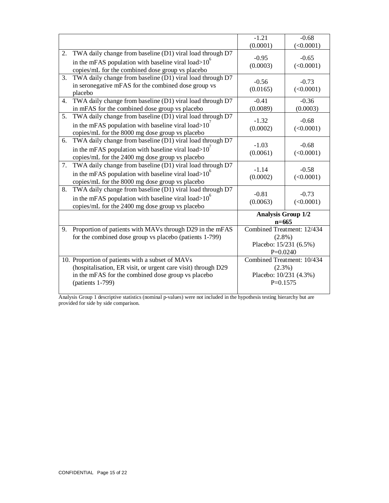|                  |                                                                                                                                                                                             | $-1.21$                                                                         | $-0.68$              |
|------------------|---------------------------------------------------------------------------------------------------------------------------------------------------------------------------------------------|---------------------------------------------------------------------------------|----------------------|
|                  |                                                                                                                                                                                             | (0.0001)                                                                        | (<0.0001)            |
| 2.               | TWA daily change from baseline (D1) viral load through D7<br>in the mFAS population with baseline viral load $>10^{\circ}$<br>copies/mL for the combined dose group vs placebo              | $-0.95$<br>(0.0003)                                                             | $-0.65$<br>(<0.0001) |
| $\mathfrak{Z}$ . | TWA daily change from baseline (D1) viral load through D7<br>in seronegative mFAS for the combined dose group vs<br>placebo                                                                 | $-0.56$<br>(0.0165)                                                             | $-0.73$<br>(<0.0001) |
| 4.               | TWA daily change from baseline (D1) viral load through D7<br>in mFAS for the combined dose group vs placebo                                                                                 | $-0.41$<br>(0.0089)                                                             | $-0.36$<br>(0.0003)  |
| 5.               | TWA daily change from baseline (D1) viral load through D7<br>in the mFAS population with baseline viral load $>10'$<br>copies/mL for the 8000 mg dose group vs placebo                      | $-1.32$<br>(0.0002)                                                             | $-0.68$<br>(<0.0001) |
| 6.               | TWA daily change from baseline (D1) viral load through D7<br>in the mFAS population with baseline viral load $>10'$<br>copies/mL for the 2400 mg dose group vs placebo                      | $-1.03$<br>(0.0061)                                                             | $-0.68$<br>(<0.0001) |
| 7.               | TWA daily change from baseline (D1) viral load through D7<br>in the mFAS population with baseline viral load $>10^{\circ}$<br>copies/mL for the 8000 mg dose group vs placebo               | $-1.14$<br>(0.0002)                                                             | $-0.58$<br>(<0.0001) |
| 8.               | TWA daily change from baseline (D1) viral load through D7<br>in the mFAS population with baseline viral load $>10^{\circ}$<br>copies/mL for the 2400 mg dose group vs placebo               | $-0.81$<br>(0.0063)                                                             | $-0.73$<br>(<0.0001) |
|                  |                                                                                                                                                                                             | <b>Analysis Group 1/2</b><br>$n=665$                                            |                      |
| 9.               | Proportion of patients with MAVs through D29 in the mFAS<br>for the combined dose group vs placebo (patients 1-799)                                                                         | Combined Treatment: 12/434<br>$(2.8\%)$<br>Placebo: 15/231 (6.5%)<br>$P=0.0240$ |                      |
|                  | 10. Proportion of patients with a subset of MAVs<br>(hospitalisation, ER visit, or urgent care visit) through D29<br>in the mFAS for the combined dose group vs placebo<br>(patients 1-799) | Combined Treatment: 10/434<br>(2.3%)<br>Placebo: 10/231 (4.3%)<br>$P=0.1575$    |                      |

Analysis Group 1 descriptive statistics (nominal p-values) were not included in the hypothesis testing hierarchy but are provided for side by side comparison.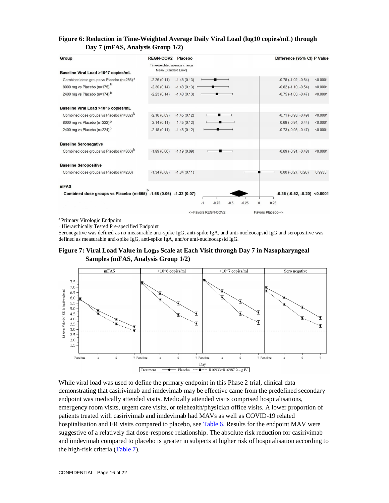## **Figure 6: Reduction in Time-Weighted Average Daily Viral Load (log10 copies/mL) through Day 7 (mFAS, Analysis Group 1/2)**

| Group                                                             | <b>REGN-COV2</b>             | Placebo       |                     |        |                     | Difference (95% CI) P Value           |          |
|-------------------------------------------------------------------|------------------------------|---------------|---------------------|--------|---------------------|---------------------------------------|----------|
|                                                                   | Time-weighted average change |               |                     |        |                     |                                       |          |
| Baseline Viral Load >10^7 copies/mL                               | Mean (Standard Error)        |               |                     |        |                     |                                       |          |
| Combined dose groups vs Placebo (n=256) <sup>a</sup>              | $-2.26(0.11)$                | $-1.48(0.13)$ |                     |        |                     | $-0.78$ $(-1.02, -0.54)$              | < 0.0001 |
| 8000 mg vs Placebo (n=175) <sup>b</sup>                           | $-2.30(0.14)$                | $-1.48(0.13)$ |                     |        |                     | $-0.82$ $(-1.10, -0.54)$              | < 0.0001 |
| 2400 mg vs Placebo (n=174) <sup>b</sup>                           | $-2.23(0.14)$                | $-1.48(0.13)$ |                     |        |                     | $-0.75(-1.03, -0.47)$                 | < 0.0001 |
| Baseline Viral Load >10^6 copies/mL                               |                              |               |                     |        |                     |                                       |          |
| Combined dose groups vs Placebo (n=332) <sup>b</sup>              | $-2.16(0.09)$                | $-1.45(0.12)$ |                     |        |                     | $-0.71$ $(-0.93, -0.49)$              | < 0.0001 |
| 8000 mg vs Placebo (n=222)b                                       | $-2.14(0.11)$                | $-1.45(0.12)$ |                     |        |                     | $-0.69$ $(-0.94, -0.44)$              | < 0.0001 |
| 2400 mg vs Placebo (n=224) <sup>b</sup>                           | $-2.18(0.11)$                | $-1.45(0.12)$ |                     |        |                     | $-0.73$ $(-0.98, -0.47)$              | < 0.0001 |
| <b>Baseline Seronegative</b>                                      |                              |               |                     |        |                     |                                       |          |
| Combined dose groups vs Placebo (n=360) <sup>b</sup>              | $-1.89(0.06)$                | $-1.19(0.09)$ |                     |        |                     | $-0.69$ $(-0.91, -0.48)$              | < 0.0001 |
| <b>Baseline Seropositive</b>                                      |                              |               |                     |        |                     |                                       |          |
| Combined dose groups vs Placebo (n=236)                           | $-1.34(0.08)$                | $-1.34(0.11)$ |                     |        |                     | $0.00 (-0.27, 0.26)$                  | 0.9935   |
| <b>mFAS</b>                                                       |                              |               |                     |        |                     |                                       |          |
| Combined dose groups vs Placebo (n=665) -1.68 (0.06) -1.32 (0.07) |                              |               |                     |        |                     | $-0.36$ ( $-0.52$ , $-0.20$ ) <0.0001 |          |
|                                                                   |                              |               | $-0.75$<br>$-1$     | $-0.5$ | $-0.25$<br>$\bf{0}$ | 0.25                                  |          |
|                                                                   |                              |               | <--Favors RFGN-COV2 |        |                     | Favors Placebo-->                     |          |

<sup>a</sup> Primary Virologic Endpoint

**b** Hierarchically Tested Pre-specified Endpoint

Seronegative was defined as no measurable anti-spike IgG, anti-spike IgA, and anti-nucleocapsid IgG and seropositive was defined as measurable anti-spike IgG, anti-spike IgA, and/or anti-nucleocapsid IgG.

**Figure 7: Viral Load Value in Log10 Scale at Each Visit through Day 7 in Nasopharyngeal Samples (mFAS, Analysis Group 1/2)**



While viral load was used to define the primary endpoint in this Phase 2 trial, clinical data demonstrating that casirivimab and imdevimab may be effective came from the predefined secondary endpoint was medically attended visits. Medically attended visits comprised hospitalisations, emergency room visits, urgent care visits, or telehealth/physician office visits. A lower proportion of patients treated with casirivimab and imdevimab had MAVs as well as COVID-19 related hospitalisation and ER visits compared to placebo, see Table 6. Results for the endpoint MAV were suggestive of a relatively flat dose-response relationship. The absolute risk reduction for casirivimab and imdevimab compared to placebo is greater in subjects at higher risk of hospitalisation according to the high-risk criteria (Table 7).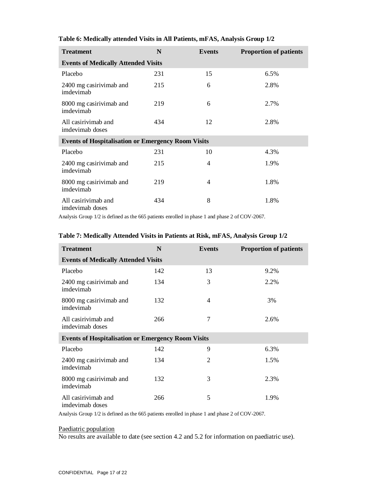| <b>Treatment</b>                                          | N   | Events | <b>Proportion of patients</b> |  |  |  |  |  |  |
|-----------------------------------------------------------|-----|--------|-------------------------------|--|--|--|--|--|--|
| <b>Events of Medically Attended Visits</b>                |     |        |                               |  |  |  |  |  |  |
| Placebo                                                   | 231 | 15     | 6.5%                          |  |  |  |  |  |  |
| 2400 mg casirivimab and<br>imdevimab                      | 215 | 6      | 2.8%                          |  |  |  |  |  |  |
| 8000 mg casirivimab and<br>imdevimab                      | 219 | 6      | 2.7%                          |  |  |  |  |  |  |
| All casirivimab and<br>imdevimab doses                    | 434 | 12     | 2.8%                          |  |  |  |  |  |  |
| <b>Events of Hospitalisation or Emergency Room Visits</b> |     |        |                               |  |  |  |  |  |  |
| Placebo                                                   | 231 | 10     | 4.3%                          |  |  |  |  |  |  |
| 2400 mg casirivimab and<br>imdevimab                      | 215 | 4      | 1.9%                          |  |  |  |  |  |  |
| 8000 mg casirivimab and<br>imdevimab                      | 219 | 4      | 1.8%                          |  |  |  |  |  |  |
| All casirivimab and<br>imdevimab doses                    | 434 | 8      | 1.8%                          |  |  |  |  |  |  |

## **Table 6: Medically attended Visits in All Patients, mFAS, Analysis Group 1/2**

Analysis Group 1/2 is defined as the 665 patients enrolled in phase 1 and phase 2 of COV-2067.

| <b>Treatment</b>                                          | N   | Events | <b>Proportion of patients</b> |  |  |
|-----------------------------------------------------------|-----|--------|-------------------------------|--|--|
| <b>Events of Medically Attended Visits</b>                |     |        |                               |  |  |
| Placebo                                                   | 142 | 13     | 9.2%                          |  |  |
| 2400 mg casirivimab and<br>imdevimab                      | 134 | 3      | 2.2%                          |  |  |
| 8000 mg casirivimab and<br>imdevimab                      | 132 | 4      | 3%                            |  |  |
| All casirivimab and<br>imdevimab doses                    | 266 | 7      | 2.6%                          |  |  |
| <b>Events of Hospitalisation or Emergency Room Visits</b> |     |        |                               |  |  |
| Placebo                                                   | 142 | 9      | 6.3%                          |  |  |
| 2400 mg casirivimab and<br>imdevimab                      | 134 | 2      | 1.5%                          |  |  |
| 8000 mg casirivimab and<br>imdevimab                      | 132 | 3      | 2.3%                          |  |  |
| All casirivimab and<br>imdevimab doses                    | 266 | 5      | 1.9%                          |  |  |

## **Table 7: Medically Attended Visits in Patients at Risk, mFAS, Analysis Group 1/2**

Analysis Group 1/2 is defined as the 665 patients enrolled in phase 1 and phase 2 of COV-2067.

#### Paediatric population

No results are available to date (see section 4.2 and 5.2 for information on paediatric use).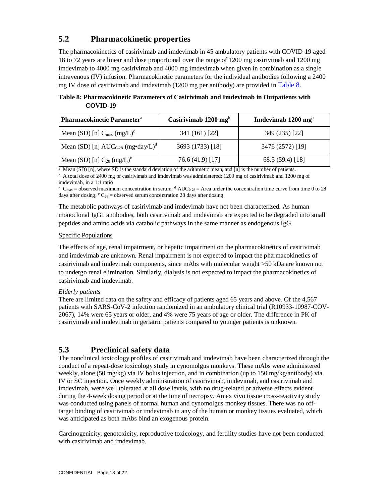# **5.2 Pharmacokinetic properties**

The pharmacokinetics of casirivimab and imdevimab in 45 ambulatory patients with COVID-19 aged 18 to 72 years are linear and dose proportional over the range of 1200 mg casirivimab and 1200 mg imdevimab to 4000 mg casirivimab and 4000 mg imdevimab when given in combination as a single intravenous (IV) infusion. Pharmacokinetic parameters for the individual antibodies following a 2400 mg IV dose of casirivimab and imdevimab (1200 mg per antibody) are provided in Table 8.

**Table 8: Pharmacokinetic Parameters of Casirivimab and Imdevimab in Outpatients with COVID-19**

| <b>Pharmacokinetic Parameter</b> <sup>a</sup>      | Casirivimab $1200 \text{ mg}^b$ | Imdevimab $1200$ mg <sup>b</sup> |
|----------------------------------------------------|---------------------------------|----------------------------------|
| Mean (SD) [n] $C_{\text{max}}$ (mg/L) <sup>c</sup> | 341 (161) [22]                  | 349 (235) [22]                   |
| Mean (SD) [n] $AUC_{0.28}$ (mg•day/L) <sup>d</sup> | 3693 (1733) [18]                | 3476 (2572) [19]                 |
| Mean (SD) [n] $C_{28}$ (mg/L) <sup>e</sup>         | 76.6 (41.9) [17]                | 68.5(59.4)[18]                   |

<sup>a</sup> Mean (SD) [n], where SD is the standard deviation of the arithmetic mean, and [n] is the number of patients.

<sup>b</sup> A total dose of 2400 mg of casirivimab and imdevimab was administered; 1200 mg of casirivimab and 1200 mg of imdevimab, in a 1:1 ratio

 $c_{\text{max}} =$  observed maximum concentration in serum;  $d$  AUC<sub>0-28</sub> = Area under the concentration time curve from time 0 to 28 days after dosing;  $\mathrm{^eC_{28}}$  = observed serum concentration 28 days after dosing

The metabolic pathways of casirivimab and imdevimab have not been characterized. As human monoclonal IgG1 antibodies, both casirivimab and imdevimab are expected to be degraded into small peptides and amino acids via catabolic pathways in the same manner as endogenous IgG.

## Specific Populations

The effects of age, renal impairment, or hepatic impairment on the pharmacokinetics of casirivimab and imdevimab are unknown. Renal impairment is not expected to impact the pharmacokinetics of casirivimab and imdevimab components, since mAbs with molecular weight >50 kDa are known not to undergo renal elimination. Similarly, dialysis is not expected to impact the pharmacokinetics of casirivimab and imdevimab.

## *Elderly patients*

There are limited data on the safety and efficacy of patients aged 65 years and above. Of the 4,567 patients with SARS-CoV-2 infection randomized in an ambulatory clinical trial (R10933-10987-COV-2067), 14% were 65 years or older, and 4% were 75 years of age or older. The difference in PK of casirivimab and imdevimab in geriatric patients compared to younger patients is unknown.

## **5.3 Preclinical safety data**

The nonclinical toxicology profiles of casirivimab and imdevimab have been characterized through the conduct of a repeat-dose toxicology study in cynomolgus monkeys. These mAbs were administered weekly, alone (50 mg/kg) via IV bolus injection, and in combination (up to 150 mg/kg/antibody) via IV or SC injection. Once weekly administration of casirivimab, imdevimab, and casirivimab and imdevimab, were well tolerated at all dose levels, with no drug-related or adverse effects evident during the 4-week dosing period or at the time of necropsy. An ex vivo tissue cross-reactivity study was conducted using panels of normal human and cynomolgus monkey tissues. There was no offtarget binding of casirivimab or imdevimab in any of the human or monkey tissues evaluated, which was anticipated as both mAbs bind an exogenous protein.

Carcinogenicity, genotoxicity, reproductive toxicology, and fertility studies have not been conducted with casirivimab and imdevimab.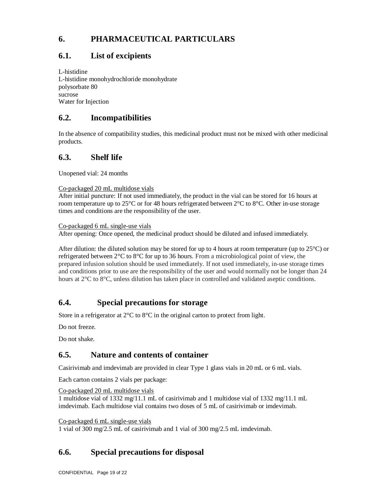# **6. PHARMACEUTICAL PARTICULARS**

# **6.1. List of excipients**

L-histidine L-histidine monohydrochloride monohydrate polysorbate 80 sucrose Water for Injection

# **6.2. Incompatibilities**

In the absence of compatibility studies, this medicinal product must not be mixed with other medicinal products.

# **6.3. Shelf life**

Unopened vial: 24 months

## Co-packaged 20 mL multidose vials

After initial puncture: If not used immediately, the product in the vial can be stored for 16 hours at room temperature up to 25°C or for 48 hours refrigerated between 2°C to 8°C. Other in-use storage times and conditions are the responsibility of the user.

Co-packaged 6 mL single-use vials

After opening: Once opened, the medicinal product should be diluted and infused immediately.

After dilution: the diluted solution may be stored for up to 4 hours at room temperature (up to  $25^{\circ}$ C) or refrigerated between 2°C to 8°C for up to 36 hours. From a microbiological point of view, the prepared infusion solution should be used immediately. If not used immediately, in-use storage times and conditions prior to use are the responsibility of the user and would normally not be longer than 24 hours at 2°C to 8°C, unless dilution has taken place in controlled and validated aseptic conditions.

# **6.4. Special precautions for storage**

Store in a refrigerator at 2<sup>o</sup>C to 8<sup>o</sup>C in the original carton to protect from light.

Do not freeze.

Do not shake.

# **6.5. Nature and contents of container**

Casirivimab and imdevimab are provided in clear Type 1 glass vials in 20 mL or 6 mL vials.

Each carton contains 2 vials per package:

Co-packaged 20 mL multidose vials

1 multidose vial of 1332 mg/11.1 mL of casirivimab and 1 multidose vial of 1332 mg/11.1 mL imdevimab. Each multidose vial contains two doses of 5 mL of casirivimab or imdevimab.

Co-packaged 6 mL single-use vials

1 vial of 300 mg/2.5 mL of casirivimab and 1 vial of 300 mg/2.5 mL imdevimab.

# **6.6. Special precautions for disposal**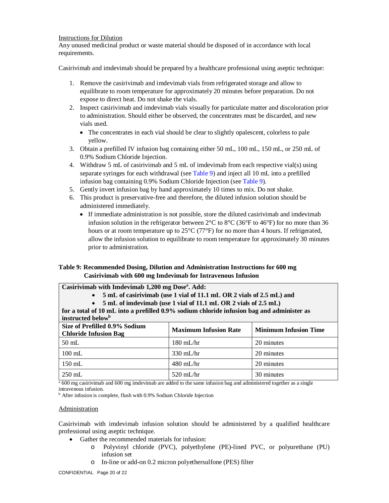#### Instructions for Dilution

Any unused medicinal product or waste material should be disposed of in accordance with local requirements.

Casirivimab and imdevimab should be prepared by a healthcare professional using aseptic technique:

- 1. Remove the casirivimab and imdevimab vials from refrigerated storage and allow to equilibrate to room temperature for approximately 20 minutes before preparation. Do not expose to direct heat. Do not shake the vials.
- 2. Inspect casirivimab and imdevimab vials visually for particulate matter and discoloration prior to administration. Should either be observed, the concentrates must be discarded, and new vials used.
	- The concentrates in each vial should be clear to slightly opalescent, colorless to pale yellow.
- 3. Obtain a prefilled IV infusion bag containing either 50 mL, 100 mL, 150 mL, or 250 mL of 0.9% Sodium Chloride Injection.
- 4. Withdraw 5 mL of casirivimab and 5 mL of imdevimab from each respective vial(s) using separate syringes for each withdrawal (see Table 9) and inject all 10 mL into a prefilled infusion bag containing 0.9% Sodium Chloride Injection (see Table 9).
- 5. Gently invert infusion bag by hand approximately 10 times to mix. Do not shake.
- 6. This product is preservative-free and therefore, the diluted infusion solution should be administered immediately.
	- If immediate administration is not possible, store the diluted casirivimab and imdevimab infusion solution in the refrigerator between  $2^{\circ}$ C to  $8^{\circ}$ C (36<sup>°</sup>F to 46<sup>°</sup>F) for no more than 36 hours or at room temperature up to 25°C (77°F) for no more than 4 hours. If refrigerated, allow the infusion solution to equilibrate to room temperature for approximately 30 minutes prior to administration.

## **Table 9: Recommended Dosing, Dilution and Administration Instructions for 600 mg Casirivimab with 600 mg Imdevimab for Intravenous Infusion**

**Casirivimab with Imdevimab 1,200 mg Dose<sup>a</sup> . Add:**

**5 mL of casirivimab (use 1 vial of 11.1 mL OR 2 vials of 2.5 mL) and**

**5 mL of imdevimab (use 1 vial of 11.1 mL OR 2 vials of 2.5 mL)**

| for a total of 10 mL into a prefilled 0.9% sodium chloride infusion bag and administer as<br>instructed below <sup>b</sup> |                              |                              |  |  |
|----------------------------------------------------------------------------------------------------------------------------|------------------------------|------------------------------|--|--|
| Size of Prefilled 0.9% Sodium<br><b>Chloride Infusion Bag</b>                                                              | <b>Maximum Infusion Rate</b> | <b>Minimum Infusion Time</b> |  |  |
| $50$ mL                                                                                                                    | $180 \text{ mL/hr}$          | 20 minutes                   |  |  |
| $100 \text{ mL}$                                                                                                           | $330 \text{ mL/hr}$          | 20 minutes                   |  |  |
| $150$ mL                                                                                                                   | $480$ mL/hr                  | 20 minutes                   |  |  |

a 600 mg casirivimab and 600 mg imdevimab are added to the same infusion bag and administered together as a single intravenous infusion.

250 mL 30 minutes <br>  $\frac{1}{250}$  520 mL/hr 30 minutes

<sup>b</sup> After infusion is complete, flush with 0.9% Sodium Chloride Injection

### Administration

Casirivimab with imdevimab infusion solution should be administered by a qualified healthcare professional using aseptic technique.

- Gather the recommended materials for infusion:
	- o Polyvinyl chloride (PVC), polyethylene (PE)-lined PVC, or polyurethane (PU) infusion set
	- o In-line or add-on 0.2 micron polyethersulfone (PES) filter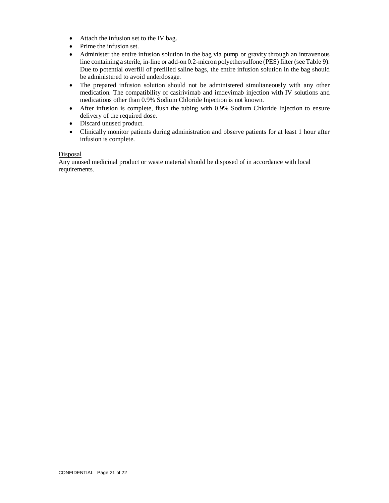- Attach the infusion set to the IV bag.
- $\bullet$  Prime the infusion set.
- Administer the entire infusion solution in the bag via pump or gravity through an intravenous line containing a sterile, in-line or add-on 0.2-micron polyethersulfone (PES) filter (see Table 9). Due to potential overfill of prefilled saline bags, the entire infusion solution in the bag should be administered to avoid underdosage.
- The prepared infusion solution should not be administered simultaneously with any other medication. The compatibility of casirivimab and imdevimab injection with IV solutions and medications other than 0.9% Sodium Chloride Injection is not known.
- After infusion is complete, flush the tubing with 0.9% Sodium Chloride Injection to ensure delivery of the required dose.
- Discard unused product.
- Clinically monitor patients during administration and observe patients for at least 1 hour after infusion is complete.

#### **Disposal**

Any unused medicinal product or waste material should be disposed of in accordance with local requirements.